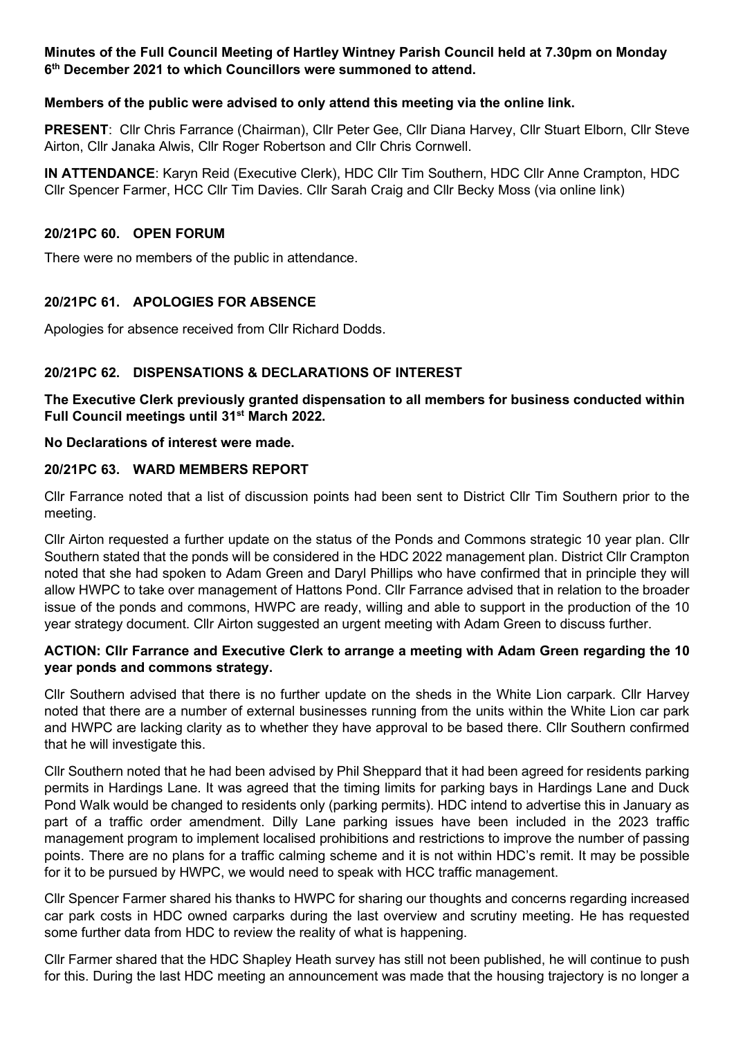### **Minutes of the Full Council Meeting of Hartley Wintney Parish Council held at 7.30pm on Monday 6th December 2021 to which Councillors were summoned to attend.**

#### **Members of the public were advised to only attend this meeting via the online link.**

**PRESENT**: Cllr Chris Farrance (Chairman), Cllr Peter Gee, Cllr Diana Harvey, Cllr Stuart Elborn, Cllr Steve Airton, Cllr Janaka Alwis, Cllr Roger Robertson and Cllr Chris Cornwell.

**IN ATTENDANCE**: Karyn Reid (Executive Clerk), HDC Cllr Tim Southern, HDC Cllr Anne Crampton, HDC Cllr Spencer Farmer, HCC Cllr Tim Davies. Cllr Sarah Craig and Cllr Becky Moss (via online link)

#### **20/21PC 60. OPEN FORUM**

There were no members of the public in attendance.

# **20/21PC 61. APOLOGIES FOR ABSENCE**

Apologies for absence received from Cllr Richard Dodds.

# **20/21PC 62. DISPENSATIONS & DECLARATIONS OF INTEREST**

**The Executive Clerk previously granted dispensation to all members for business conducted within Full Council meetings until 31st March 2022.**

#### **No Declarations of interest were made.**

#### **20/21PC 63. WARD MEMBERS REPORT**

Cllr Farrance noted that a list of discussion points had been sent to District Cllr Tim Southern prior to the meeting.

Cllr Airton requested a further update on the status of the Ponds and Commons strategic 10 year plan. Cllr Southern stated that the ponds will be considered in the HDC 2022 management plan. District Cllr Crampton noted that she had spoken to Adam Green and Daryl Phillips who have confirmed that in principle they will allow HWPC to take over management of Hattons Pond. Cllr Farrance advised that in relation to the broader issue of the ponds and commons, HWPC are ready, willing and able to support in the production of the 10 year strategy document. Cllr Airton suggested an urgent meeting with Adam Green to discuss further.

### **ACTION: Cllr Farrance and Executive Clerk to arrange a meeting with Adam Green regarding the 10 year ponds and commons strategy.**

Cllr Southern advised that there is no further update on the sheds in the White Lion carpark. Cllr Harvey noted that there are a number of external businesses running from the units within the White Lion car park and HWPC are lacking clarity as to whether they have approval to be based there. Cllr Southern confirmed that he will investigate this.

Cllr Southern noted that he had been advised by Phil Sheppard that it had been agreed for residents parking permits in Hardings Lane. It was agreed that the timing limits for parking bays in Hardings Lane and Duck Pond Walk would be changed to residents only (parking permits). HDC intend to advertise this in January as part of a traffic order amendment. Dilly Lane parking issues have been included in the 2023 traffic management program to implement localised prohibitions and restrictions to improve the number of passing points. There are no plans for a traffic calming scheme and it is not within HDC's remit. It may be possible for it to be pursued by HWPC, we would need to speak with HCC traffic management.

Cllr Spencer Farmer shared his thanks to HWPC for sharing our thoughts and concerns regarding increased car park costs in HDC owned carparks during the last overview and scrutiny meeting. He has requested some further data from HDC to review the reality of what is happening.

Cllr Farmer shared that the HDC Shapley Heath survey has still not been published, he will continue to push for this. During the last HDC meeting an announcement was made that the housing trajectory is no longer a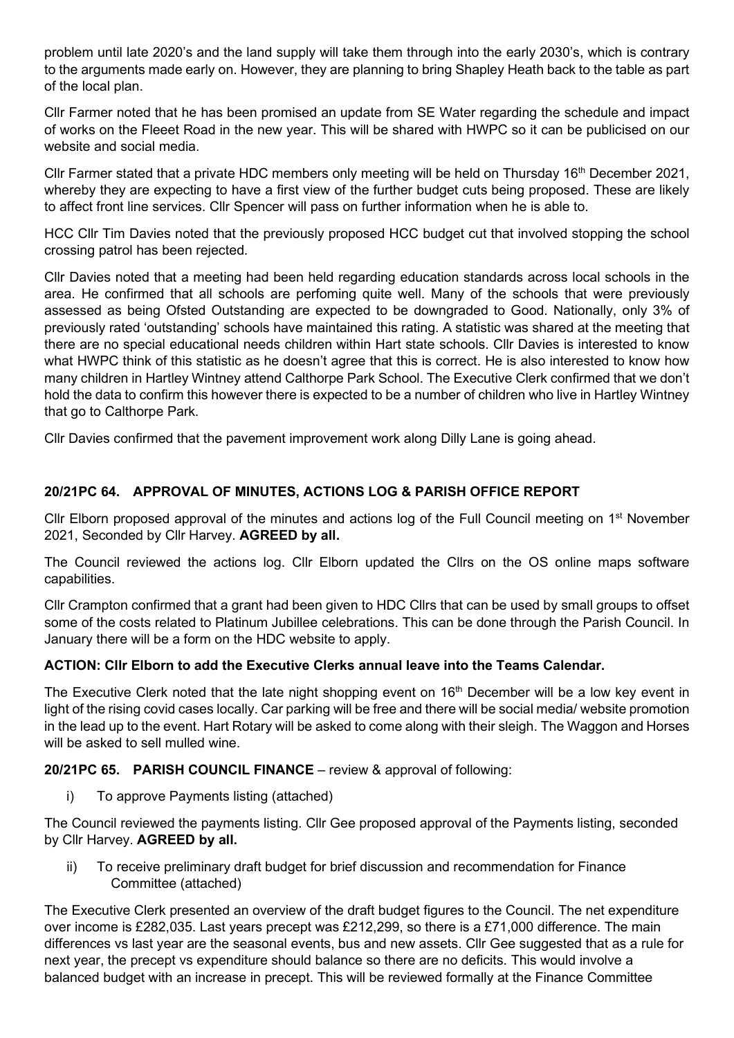problem until late 2020's and the land supply will take them through into the early 2030's, which is contrary to the arguments made early on. However, they are planning to bring Shapley Heath back to the table as part of the local plan.

Cllr Farmer noted that he has been promised an update from SE Water regarding the schedule and impact of works on the Fleeet Road in the new year. This will be shared with HWPC so it can be publicised on our website and social media.

Cllr Farmer stated that a private HDC members only meeting will be held on Thursday 16<sup>th</sup> December 2021, whereby they are expecting to have a first view of the further budget cuts being proposed. These are likely to affect front line services. Cllr Spencer will pass on further information when he is able to.

HCC Cllr Tim Davies noted that the previously proposed HCC budget cut that involved stopping the school crossing patrol has been rejected.

Cllr Davies noted that a meeting had been held regarding education standards across local schools in the area. He confirmed that all schools are perfoming quite well. Many of the schools that were previously assessed as being Ofsted Outstanding are expected to be downgraded to Good. Nationally, only 3% of previously rated 'outstanding' schools have maintained this rating. A statistic was shared at the meeting that there are no special educational needs children within Hart state schools. Cllr Davies is interested to know what HWPC think of this statistic as he doesn't agree that this is correct. He is also interested to know how many children in Hartley Wintney attend Calthorpe Park School. The Executive Clerk confirmed that we don't hold the data to confirm this however there is expected to be a number of children who live in Hartley Wintney that go to Calthorpe Park.

Cllr Davies confirmed that the pavement improvement work along Dilly Lane is going ahead.

# **20/21PC 64. APPROVAL OF MINUTES, ACTIONS LOG & PARISH OFFICE REPORT**

Cllr Elborn proposed approval of the minutes and actions log of the Full Council meeting on 1<sup>st</sup> November 2021, Seconded by Cllr Harvey. **AGREED by all.**

The Council reviewed the actions log. Cllr Elborn updated the Cllrs on the OS online maps software capabilities.

Cllr Crampton confirmed that a grant had been given to HDC Cllrs that can be used by small groups to offset some of the costs related to Platinum Jubillee celebrations. This can be done through the Parish Council. In January there will be a form on the HDC website to apply.

#### **ACTION: Cllr Elborn to add the Executive Clerks annual leave into the Teams Calendar.**

The Executive Clerk noted that the late night shopping event on 16<sup>th</sup> December will be a low key event in light of the rising covid cases locally. Car parking will be free and there will be social media/ website promotion in the lead up to the event. Hart Rotary will be asked to come along with their sleigh. The Waggon and Horses will be asked to sell mulled wine.

#### **20/21PC 65. PARISH COUNCIL FINANCE** – review & approval of following:

i) To approve Payments listing (attached)

The Council reviewed the payments listing. Cllr Gee proposed approval of the Payments listing, seconded by Cllr Harvey. **AGREED by all.**

ii) To receive preliminary draft budget for brief discussion and recommendation for Finance Committee (attached)

The Executive Clerk presented an overview of the draft budget figures to the Council. The net expenditure over income is £282,035. Last years precept was £212,299, so there is a £71,000 difference. The main differences vs last year are the seasonal events, bus and new assets. Cllr Gee suggested that as a rule for next year, the precept vs expenditure should balance so there are no deficits. This would involve a balanced budget with an increase in precept. This will be reviewed formally at the Finance Committee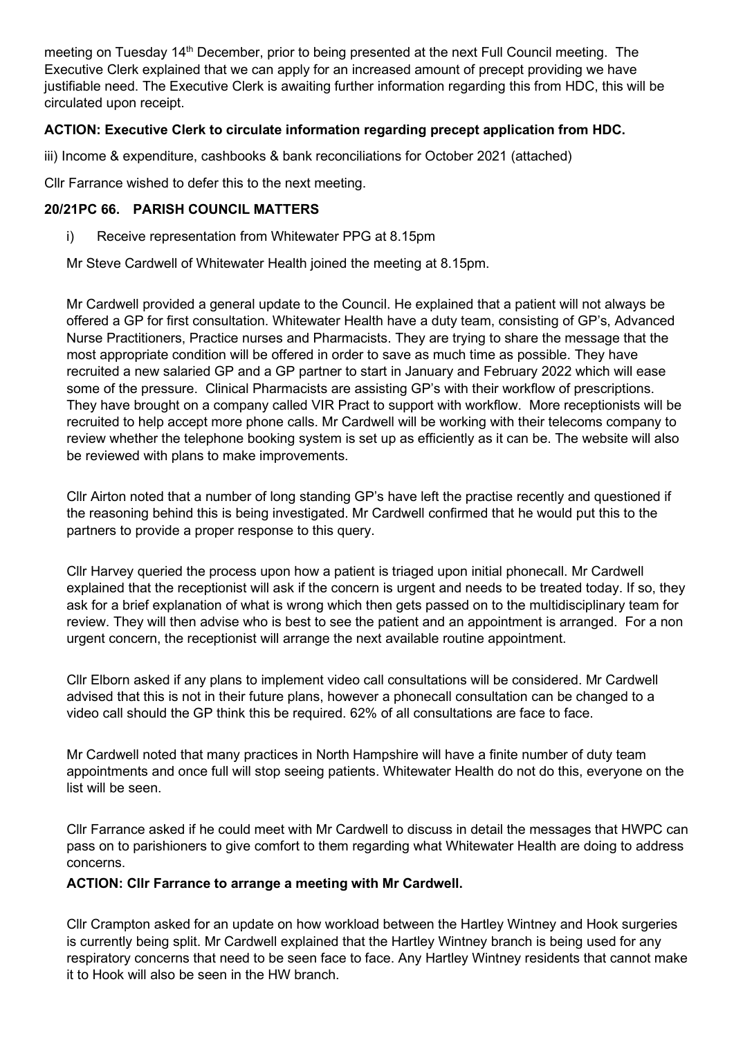meeting on Tuesday 14<sup>th</sup> December, prior to being presented at the next Full Council meeting. The Executive Clerk explained that we can apply for an increased amount of precept providing we have justifiable need. The Executive Clerk is awaiting further information regarding this from HDC, this will be circulated upon receipt.

# **ACTION: Executive Clerk to circulate information regarding precept application from HDC.**

iii) Income & expenditure, cashbooks & bank reconciliations for October 2021 (attached)

Cllr Farrance wished to defer this to the next meeting.

### **20/21PC 66. PARISH COUNCIL MATTERS**

i) Receive representation from Whitewater PPG at 8.15pm

Mr Steve Cardwell of Whitewater Health joined the meeting at 8.15pm.

Mr Cardwell provided a general update to the Council. He explained that a patient will not always be offered a GP for first consultation. Whitewater Health have a duty team, consisting of GP's, Advanced Nurse Practitioners, Practice nurses and Pharmacists. They are trying to share the message that the most appropriate condition will be offered in order to save as much time as possible. They have recruited a new salaried GP and a GP partner to start in January and February 2022 which will ease some of the pressure. Clinical Pharmacists are assisting GP's with their workflow of prescriptions. They have brought on a company called VIR Pract to support with workflow. More receptionists will be recruited to help accept more phone calls. Mr Cardwell will be working with their telecoms company to review whether the telephone booking system is set up as efficiently as it can be. The website will also be reviewed with plans to make improvements.

Cllr Airton noted that a number of long standing GP's have left the practise recently and questioned if the reasoning behind this is being investigated. Mr Cardwell confirmed that he would put this to the partners to provide a proper response to this query.

Cllr Harvey queried the process upon how a patient is triaged upon initial phonecall. Mr Cardwell explained that the receptionist will ask if the concern is urgent and needs to be treated today. If so, they ask for a brief explanation of what is wrong which then gets passed on to the multidisciplinary team for review. They will then advise who is best to see the patient and an appointment is arranged. For a non urgent concern, the receptionist will arrange the next available routine appointment.

Cllr Elborn asked if any plans to implement video call consultations will be considered. Mr Cardwell advised that this is not in their future plans, however a phonecall consultation can be changed to a video call should the GP think this be required. 62% of all consultations are face to face.

Mr Cardwell noted that many practices in North Hampshire will have a finite number of duty team appointments and once full will stop seeing patients. Whitewater Health do not do this, everyone on the list will be seen.

Cllr Farrance asked if he could meet with Mr Cardwell to discuss in detail the messages that HWPC can pass on to parishioners to give comfort to them regarding what Whitewater Health are doing to address concerns.

#### **ACTION: Cllr Farrance to arrange a meeting with Mr Cardwell.**

Cllr Crampton asked for an update on how workload between the Hartley Wintney and Hook surgeries is currently being split. Mr Cardwell explained that the Hartley Wintney branch is being used for any respiratory concerns that need to be seen face to face. Any Hartley Wintney residents that cannot make it to Hook will also be seen in the HW branch.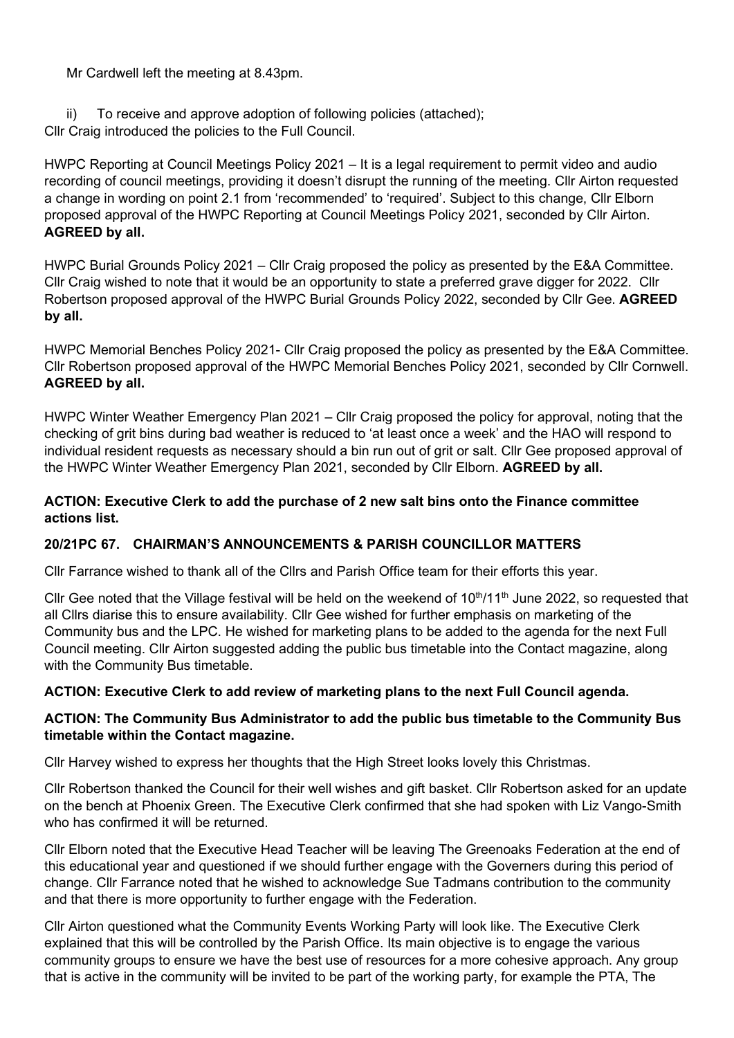Mr Cardwell left the meeting at 8.43pm.

ii) To receive and approve adoption of following policies (attached); Cllr Craig introduced the policies to the Full Council.

HWPC Reporting at Council Meetings Policy 2021 – It is a legal requirement to permit video and audio recording of council meetings, providing it doesn't disrupt the running of the meeting. Cllr Airton requested a change in wording on point 2.1 from 'recommended' to 'required'. Subject to this change, Cllr Elborn proposed approval of the HWPC Reporting at Council Meetings Policy 2021, seconded by Cllr Airton. **AGREED by all.**

HWPC Burial Grounds Policy 2021 – Cllr Craig proposed the policy as presented by the E&A Committee. Cllr Craig wished to note that it would be an opportunity to state a preferred grave digger for 2022. Cllr Robertson proposed approval of the HWPC Burial Grounds Policy 2022, seconded by Cllr Gee. **AGREED by all.**

HWPC Memorial Benches Policy 2021- Cllr Craig proposed the policy as presented by the E&A Committee. Cllr Robertson proposed approval of the HWPC Memorial Benches Policy 2021, seconded by Cllr Cornwell. **AGREED by all.**

HWPC Winter Weather Emergency Plan 2021 – Cllr Craig proposed the policy for approval, noting that the checking of grit bins during bad weather is reduced to 'at least once a week' and the HAO will respond to individual resident requests as necessary should a bin run out of grit or salt. Cllr Gee proposed approval of the HWPC Winter Weather Emergency Plan 2021, seconded by Cllr Elborn. **AGREED by all.**

# **ACTION: Executive Clerk to add the purchase of 2 new salt bins onto the Finance committee actions list.**

# **20/21PC 67. CHAIRMAN'S ANNOUNCEMENTS & PARISH COUNCILLOR MATTERS**

Cllr Farrance wished to thank all of the Cllrs and Parish Office team for their efforts this year.

Cllr Gee noted that the Village festival will be held on the weekend of  $10<sup>th</sup>/11<sup>th</sup>$  June 2022, so requested that all Cllrs diarise this to ensure availability. Cllr Gee wished for further emphasis on marketing of the Community bus and the LPC. He wished for marketing plans to be added to the agenda for the next Full Council meeting. Cllr Airton suggested adding the public bus timetable into the Contact magazine, along with the Community Bus timetable.

# **ACTION: Executive Clerk to add review of marketing plans to the next Full Council agenda.**

# **ACTION: The Community Bus Administrator to add the public bus timetable to the Community Bus timetable within the Contact magazine.**

Cllr Harvey wished to express her thoughts that the High Street looks lovely this Christmas.

Cllr Robertson thanked the Council for their well wishes and gift basket. Cllr Robertson asked for an update on the bench at Phoenix Green. The Executive Clerk confirmed that she had spoken with Liz Vango-Smith who has confirmed it will be returned.

Cllr Elborn noted that the Executive Head Teacher will be leaving The Greenoaks Federation at the end of this educational year and questioned if we should further engage with the Governers during this period of change. Cllr Farrance noted that he wished to acknowledge Sue Tadmans contribution to the community and that there is more opportunity to further engage with the Federation.

Cllr Airton questioned what the Community Events Working Party will look like. The Executive Clerk explained that this will be controlled by the Parish Office. Its main objective is to engage the various community groups to ensure we have the best use of resources for a more cohesive approach. Any group that is active in the community will be invited to be part of the working party, for example the PTA, The